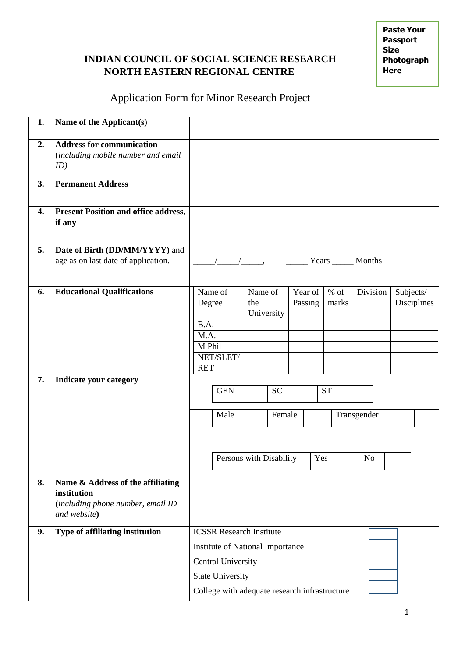# **INDIAN COUNCIL OF SOCIAL SCIENCE RESEARCH NORTH EASTERN REGIONAL CENTRE**

**Paste Your Passport Size Photograph Here** 

# Application Form for Minor Research Project

| 1. | Name of the Applicant(s)                                                                              |                                                                                                                                                                              |                      |                |            |                    |  |                 |             |                          |
|----|-------------------------------------------------------------------------------------------------------|------------------------------------------------------------------------------------------------------------------------------------------------------------------------------|----------------------|----------------|------------|--------------------|--|-----------------|-------------|--------------------------|
| 2. | <b>Address for communication</b><br>(including mobile number and email<br>ID)                         |                                                                                                                                                                              |                      |                |            |                    |  |                 |             |                          |
| 3. | <b>Permanent Address</b>                                                                              |                                                                                                                                                                              |                      |                |            |                    |  |                 |             |                          |
| 4. | <b>Present Position and office address,</b><br>if any                                                 |                                                                                                                                                                              |                      |                |            |                    |  |                 |             |                          |
| 5. | Date of Birth (DD/MM/YYYY) and<br>age as on last date of application.                                 |                                                                                                                                                                              | Years _______ Months |                |            |                    |  |                 |             |                          |
| 6. | <b>Educational Qualifications</b>                                                                     | Degree<br>B.A.<br>M.A.<br>M Phil<br><b>RET</b>                                                                                                                               | Name of<br>NET/SLET/ | Name of<br>the | University | Year of<br>Passing |  | $%$ of<br>marks | Division    | Subjects/<br>Disciplines |
| 7. | <b>Indicate your category</b>                                                                         |                                                                                                                                                                              | <b>GEN</b>           |                | <b>SC</b>  |                    |  | <b>ST</b>       |             |                          |
|    |                                                                                                       | Male                                                                                                                                                                         |                      |                | Female     |                    |  |                 | Transgender |                          |
|    |                                                                                                       | Persons with Disability<br>Yes                                                                                                                                               |                      |                |            | N <sub>o</sub>     |  |                 |             |                          |
| 8. | Name & Address of the affiliating<br>institution<br>(including phone number, email ID<br>and website) |                                                                                                                                                                              |                      |                |            |                    |  |                 |             |                          |
| 9. | Type of affiliating institution                                                                       | <b>ICSSR Research Institute</b><br>Institute of National Importance<br><b>Central University</b><br><b>State University</b><br>College with adequate research infrastructure |                      |                |            |                    |  |                 |             |                          |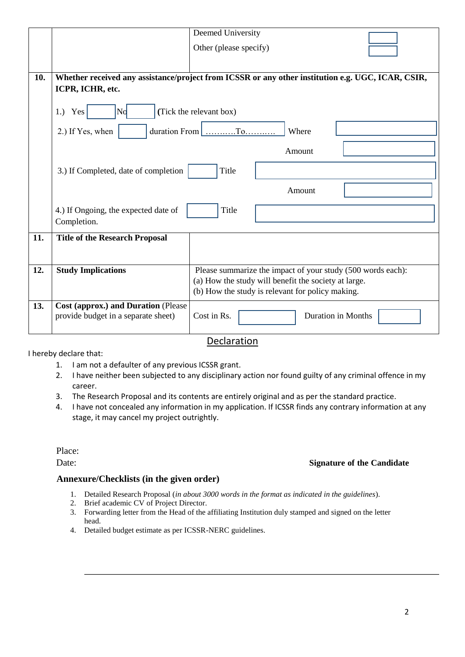|     |                                                                                                                       | Deemed University                                           |  |  |  |  |  |  |  |  |
|-----|-----------------------------------------------------------------------------------------------------------------------|-------------------------------------------------------------|--|--|--|--|--|--|--|--|
|     |                                                                                                                       | Other (please specify)                                      |  |  |  |  |  |  |  |  |
|     |                                                                                                                       |                                                             |  |  |  |  |  |  |  |  |
| 10. | Whether received any assistance/project from ICSSR or any other institution e.g. UGC, ICAR, CSIR,<br>ICPR, ICHR, etc. |                                                             |  |  |  |  |  |  |  |  |
|     | $\mathsf{Nd}$<br>$1.)$ Yes                                                                                            | (Tick the relevant box)                                     |  |  |  |  |  |  |  |  |
|     | 2.) If Yes, when                                                                                                      | duration From $\vert$<br>Where                              |  |  |  |  |  |  |  |  |
|     |                                                                                                                       | Amount                                                      |  |  |  |  |  |  |  |  |
|     | 3.) If Completed, date of completion                                                                                  | Title                                                       |  |  |  |  |  |  |  |  |
|     |                                                                                                                       | Amount                                                      |  |  |  |  |  |  |  |  |
|     | 4.) If Ongoing, the expected date of<br>Completion.                                                                   | Title                                                       |  |  |  |  |  |  |  |  |
| 11. | <b>Title of the Research Proposal</b>                                                                                 |                                                             |  |  |  |  |  |  |  |  |
| 12. | <b>Study Implications</b>                                                                                             | Please summarize the impact of your study (500 words each): |  |  |  |  |  |  |  |  |
|     |                                                                                                                       | (a) How the study will benefit the society at large.        |  |  |  |  |  |  |  |  |
|     |                                                                                                                       | (b) How the study is relevant for policy making.            |  |  |  |  |  |  |  |  |
| 13. | Cost (approx.) and Duration (Please<br>provide budget in a separate sheet)                                            | <b>Duration in Months</b><br>Cost in Rs.                    |  |  |  |  |  |  |  |  |

I hereby declare that:

Declaration

- 1. I am not a defaulter of any previous ICSSR grant.
- 2. I have neither been subjected to any disciplinary action nor found guilty of any criminal offence in my career.
- 3. The Research Proposal and its contents are entirely original and as per the standard practice.
- 4. I have not concealed any information in my application. If ICSSR finds any contrary information at any stage, it may cancel my project outrightly.

Place:

## Date: **Signature of the Candidate**

### **Annexure/Checklists (in the given order)**

- 1. Detailed Research Proposal (*in about 3000 words in the format as indicated in the guidelines*).
- 2. Brief academic CV of Project Director.
- 3. Forwarding letter from the Head of the affiliating Institution duly stamped and signed on the letter head.
- 4. Detailed budget estimate as per ICSSR-NERC guidelines.